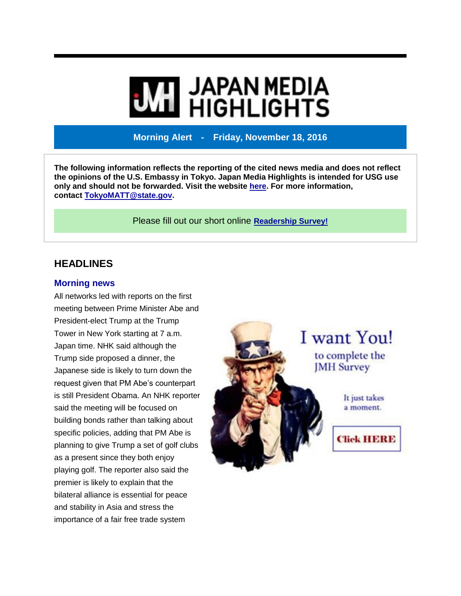# **WI JAPAN MEDIA<br>WI HIGHLIGHTS**

**Morning Alert - Friday, November 18, 2016**

**The following information reflects the reporting of the cited news media and does not reflect the opinions of the U.S. Embassy in Tokyo. Japan Media Highlights is intended for USG use only and should not be forwarded. Visit the website [here.](https://jmh.usembassy.gov/) For more information, contact [TokyoMATT@state.gov.](mailto:TokyoMATT@state.gov)**

Please fill out our short online **[Readership](https://jmh.usembassy.gov/readership-survey/) Survey!**

# **HEADLINES**

#### **Morning news**

All networks led with reports on the first meeting between Prime Minister Abe and President-elect Trump at the Trump Tower in New York starting at 7 a.m. Japan time. NHK said although the Trump side proposed a dinner, the Japanese side is likely to turn down the request given that PM Abe's counterpart is still President Obama. An NHK reporter said the meeting will be focused on building bonds rather than talking about specific policies, adding that PM Abe is planning to give Trump a set of golf clubs as a present since they both enjoy playing golf. The reporter also said the premier is likely to explain that the bilateral alliance is essential for peace and stability in Asia and stress the importance of a fair free trade system

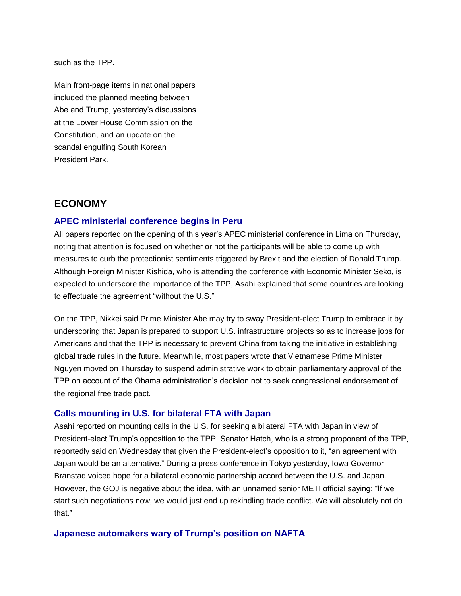such as the TPP.

Main front-page items in national papers included the planned meeting between Abe and Trump, yesterday's discussions at the Lower House Commission on the Constitution, and an update on the scandal engulfing South Korean President Park.

# **ECONOMY**

## **APEC ministerial conference begins in Peru**

All papers reported on the opening of this year's APEC ministerial conference in Lima on Thursday, noting that attention is focused on whether or not the participants will be able to come up with measures to curb the protectionist sentiments triggered by Brexit and the election of Donald Trump. Although Foreign Minister Kishida, who is attending the conference with Economic Minister Seko, is expected to underscore the importance of the TPP, Asahi explained that some countries are looking to effectuate the agreement "without the U.S."

On the TPP, Nikkei said Prime Minister Abe may try to sway President-elect Trump to embrace it by underscoring that Japan is prepared to support U.S. infrastructure projects so as to increase jobs for Americans and that the TPP is necessary to prevent China from taking the initiative in establishing global trade rules in the future. Meanwhile, most papers wrote that Vietnamese Prime Minister Nguyen moved on Thursday to suspend administrative work to obtain parliamentary approval of the TPP on account of the Obama administration's decision not to seek congressional endorsement of the regional free trade pact.

#### **Calls mounting in U.S. for bilateral FTA with Japan**

Asahi reported on mounting calls in the U.S. for seeking a bilateral FTA with Japan in view of President-elect Trump's opposition to the TPP. Senator Hatch, who is a strong proponent of the TPP, reportedly said on Wednesday that given the President-elect's opposition to it, "an agreement with Japan would be an alternative." During a press conference in Tokyo yesterday, Iowa Governor Branstad voiced hope for a bilateral economic partnership accord between the U.S. and Japan. However, the GOJ is negative about the idea, with an unnamed senior METI official saying: "If we start such negotiations now, we would just end up rekindling trade conflict. We will absolutely not do that"

#### **Japanese automakers wary of Trump's position on NAFTA**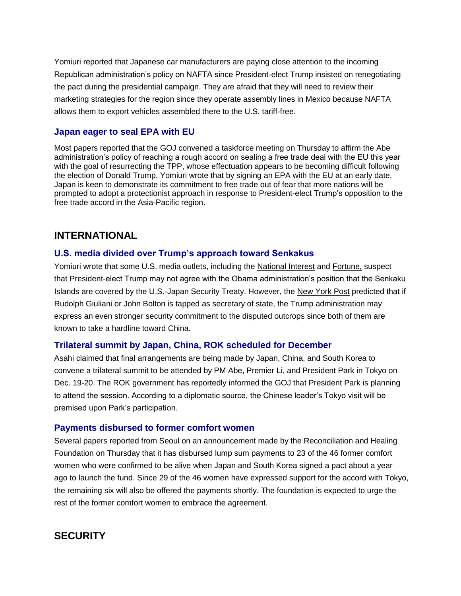Yomiuri reported that Japanese car manufacturers are paying close attention to the incoming Republican administration's policy on NAFTA since President-elect Trump insisted on renegotiating the pact during the presidential campaign. They are afraid that they will need to review their marketing strategies for the region since they operate assembly lines in Mexico because NAFTA allows them to export vehicles assembled there to the U.S. tariff-free.

## **Japan eager to seal EPA with EU**

Most papers reported that the GOJ convened a taskforce meeting on Thursday to affirm the Abe administration's policy of reaching a rough accord on sealing a free trade deal with the EU this year with the goal of resurrecting the TPP, whose effectuation appears to be becoming difficult following the election of Donald Trump. Yomiuri wrote that by signing an EPA with the EU at an early date, Japan is keen to demonstrate its commitment to free trade out of fear that more nations will be prompted to adopt a protectionist approach in response to President-elect Trump's opposition to the free trade accord in the Asia-Pacific region.

# **INTERNATIONAL**

#### **U.S. media divided over Trump's approach toward Senkakus**

Yomiuri wrote that some U.S. media outlets, including the [National](http://nationalinterest.org/feature/donald-trumps-first-100-days-how-he-could-reshape-us-foreign-18353) Interest and [Fortune,](http://fortune.com/2016/11/09/donald-trump-president-first-year/?iid=sr-link2) suspect that President-elect Trump may not agree with the Obama administration's position that the Senkaku Islands are covered by the U.S.-Japan Security Treaty. However, the New [York](http://nypost.com/2016/11/15/trumps-first-chance-to-silence-his-foreign-policy-critics/) Post predicted that if Rudolph Giuliani or John Bolton is tapped as secretary of state, the Trump administration may express an even stronger security commitment to the disputed outcrops since both of them are known to take a hardline toward China.

#### **Trilateral summit by Japan, China, ROK scheduled for December**

Asahi claimed that final arrangements are being made by Japan, China, and South Korea to convene a trilateral summit to be attended by PM Abe, Premier Li, and President Park in Tokyo on Dec. 19-20. The ROK government has reportedly informed the GOJ that President Park is planning to attend the session. According to a diplomatic source, the Chinese leader's Tokyo visit will be premised upon Park's participation.

#### **Payments disbursed to former comfort women**

Several papers reported from Seoul on an announcement made by the Reconciliation and Healing Foundation on Thursday that it has disbursed lump sum payments to 23 of the 46 former comfort women who were confirmed to be alive when Japan and South Korea signed a pact about a year ago to launch the fund. Since 29 of the 46 women have expressed support for the accord with Tokyo, the remaining six will also be offered the payments shortly. The foundation is expected to urge the rest of the former comfort women to embrace the agreement.

# **SECURITY**